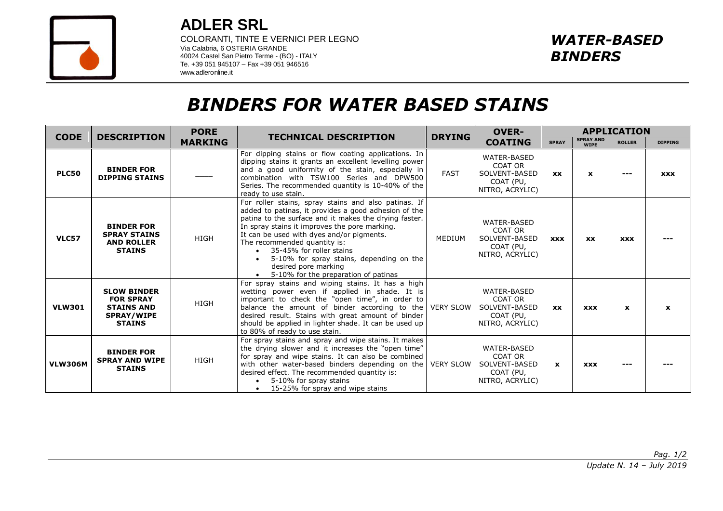

**ADLER SRL**

COLORANTI, TINTE E VERNICI PER LEGNO Via Calabria, 6 OSTERIA GRANDE 40024 Castel San Pietro Terme - (BO) - ITALY Te. +39 051 945107 – Fax +39 051 946516 www.adleronline.it

## *BINDERS FOR WATER BASED STAINS*

| <b>CODE</b>    | <b>DESCRIPTION</b>                                                                                | <b>PORE</b><br><b>MARKING</b> | <b>TECHNICAL DESCRIPTION</b>                                                                                                                                                                                                                                                                                                                                                                                                                | <b>DRYING</b>    | <b>OVER-</b><br><b>COATING</b>                                                 | <b>APPLICATION</b> |                                 |               |                |
|----------------|---------------------------------------------------------------------------------------------------|-------------------------------|---------------------------------------------------------------------------------------------------------------------------------------------------------------------------------------------------------------------------------------------------------------------------------------------------------------------------------------------------------------------------------------------------------------------------------------------|------------------|--------------------------------------------------------------------------------|--------------------|---------------------------------|---------------|----------------|
|                |                                                                                                   |                               |                                                                                                                                                                                                                                                                                                                                                                                                                                             |                  |                                                                                | <b>SPRAY</b>       | <b>SPRAY AND</b><br><b>WIPE</b> | <b>ROLLER</b> | <b>DIPPING</b> |
| <b>PLC50</b>   | <b>BINDER FOR</b><br><b>DIPPING STAINS</b>                                                        |                               | For dipping stains or flow coating applications. In<br>dipping stains it grants an excellent levelling power<br>and a good uniformity of the stain, especially in<br>combination with TSW100 Series and DPW500<br>Series. The recommended quantity is 10-40% of the<br>ready to use stain.                                                                                                                                                  | <b>FAST</b>      | <b>WATER-BASED</b><br>COAT OR<br>SOLVENT-BASED<br>COAT (PU,<br>NITRO, ACRYLIC) | <b>XX</b>          | $\mathbf{x}$                    | ---           | <b>XXX</b>     |
| <b>VLC57</b>   | <b>BINDER FOR</b><br><b>SPRAY STAINS</b><br><b>AND ROLLER</b><br><b>STAINS</b>                    | <b>HIGH</b>                   | For roller stains, spray stains and also patinas. If<br>added to patinas, it provides a good adhesion of the<br>patina to the surface and it makes the drying faster.<br>In spray stains it improves the pore marking.<br>It can be used with dyes and/or pigments.<br>The recommended quantity is:<br>35-45% for roller stains<br>5-10% for spray stains, depending on the<br>desired pore marking<br>5-10% for the preparation of patinas | MEDIUM           | WATER-BASED<br>COAT OR<br>SOLVENT-BASED<br>COAT (PU,<br>NITRO, ACRYLIC)        | <b>XXX</b>         | <b>XX</b>                       | <b>XXX</b>    |                |
| <b>VLW301</b>  | <b>SLOW BINDER</b><br><b>FOR SPRAY</b><br><b>STAINS AND</b><br><b>SPRAY/WIPE</b><br><b>STAINS</b> | <b>HIGH</b>                   | For spray stains and wiping stains. It has a high<br>wetting power even if applied in shade. It is<br>important to check the "open time", in order to<br>balance the amount of binder according to the VERY SLOW<br>desired result. Stains with great amount of binder<br>should be applied in lighter shade. It can be used up<br>to 80% of ready to use stain.                                                                            |                  | WATER-BASED<br>COAT OR<br>SOLVENT-BASED<br>COAT (PU,<br>NITRO, ACRYLIC)        | <b>XX</b>          | <b>XXX</b>                      | $\mathbf{x}$  | $\mathbf{x}$   |
| <b>VLW306M</b> | <b>BINDER FOR</b><br><b>SPRAY AND WIPE</b><br><b>STAINS</b>                                       | <b>HIGH</b>                   | For spray stains and spray and wipe stains. It makes<br>the drying slower and it increases the "open time"<br>for spray and wipe stains. It can also be combined<br>with other water-based binders depending on the<br>desired effect. The recommended quantity is:<br>5-10% for spray stains<br>15-25% for spray and wipe stains<br>$\bullet$                                                                                              | <b>VERY SLOW</b> | WATER-BASED<br>COAT OR<br>SOLVENT-BASED<br>COAT (PU,<br>NITRO, ACRYLIC)        | $\mathbf{x}$       | <b>XXX</b>                      | ---           |                |